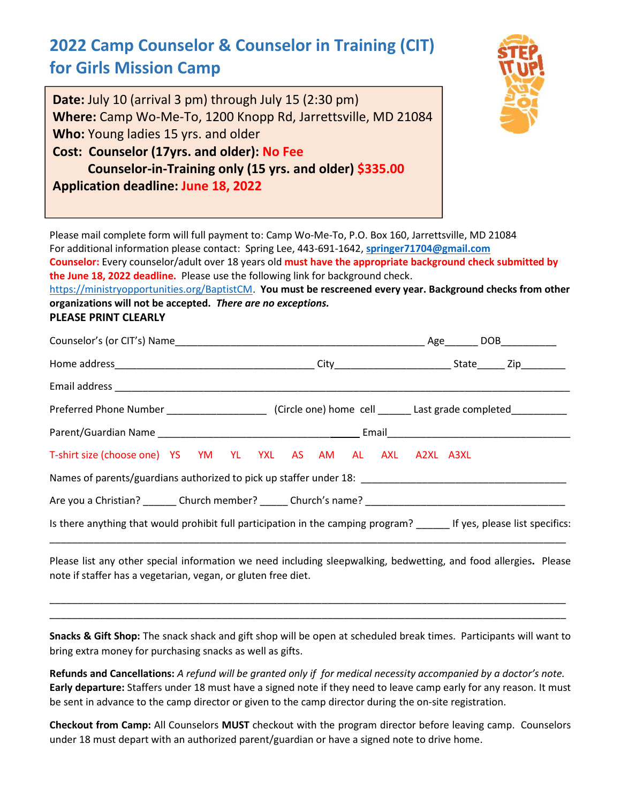# **2022 Camp Counselor & Counselor in Training (CIT) for Girls Mission Camp**

**Date:** July 10 (arrival 3 pm) through July 15 (2:30 pm) **Where:** Camp Wo-Me-To, 1200 Knopp Rd, Jarrettsville, MD 21084 **Who:** Young ladies 15 yrs. and older **Cost: Counselor (17yrs. and older): No Fee Counselor-in-Training only (15 yrs. and older) \$335.00 Application deadline: June 18, 2022**



Please mail complete form will full payment to: Camp Wo-Me-To, P.O. Box 160, Jarrettsville, MD 21084 For additional information please contact: Spring Lee, 443-691-1642, **springer71704@gmail.com Counselor:** Every counselor/adult over 18 years old **must have the appropriate background check submitted by the June 18, 2022 deadline.** Please use the following link for background check. https://ministryopportunities.org/BaptistCM. **You must be rescreened every year. Background checks from other**

**organizations will not be accepted.** *There are no exceptions.* **PLEASE PRINT CLEARLY**

| Counselor's (or CIT's) Name entertainment and the set of the set of the set of the set of the set of the set of the set of the set of the set of the set of the set of the set of the set of the set of the set of the set of |  |
|-------------------------------------------------------------------------------------------------------------------------------------------------------------------------------------------------------------------------------|--|
|                                                                                                                                                                                                                               |  |
|                                                                                                                                                                                                                               |  |
|                                                                                                                                                                                                                               |  |
|                                                                                                                                                                                                                               |  |
| T-shirt size (choose one) YS YM YL YXL AS AM AL AXL A2XL A3XL                                                                                                                                                                 |  |
|                                                                                                                                                                                                                               |  |
|                                                                                                                                                                                                                               |  |
| Is there anything that would prohibit full participation in the camping program? If yes, please list specifics:                                                                                                               |  |

Please list any other special information we need including sleepwalking, bedwetting, and food allergies**.** Please note if staffer has a vegetarian, vegan, or gluten free diet.

\_\_\_\_\_\_\_\_\_\_\_\_\_\_\_\_\_\_\_\_\_\_\_\_\_\_\_\_\_\_\_\_\_\_\_\_\_\_\_\_\_\_\_\_\_\_\_\_\_\_\_\_\_\_\_\_\_\_\_\_\_\_\_\_\_\_\_\_\_\_\_\_\_\_\_\_\_\_\_\_\_\_\_\_\_\_\_\_\_\_\_\_\_ \_\_\_\_\_\_\_\_\_\_\_\_\_\_\_\_\_\_\_\_\_\_\_\_\_\_\_\_\_\_\_\_\_\_\_\_\_\_\_\_\_\_\_\_\_\_\_\_\_\_\_\_\_\_\_\_\_\_\_\_\_\_\_\_\_\_\_\_\_\_\_\_\_\_\_\_\_\_\_\_\_\_\_\_\_\_\_\_\_\_\_\_\_

**Snacks & Gift Shop:** The snack shack and gift shop will be open at scheduled break times. Participants will want to bring extra money for purchasing snacks as well as gifts.

**Refunds and Cancellations:** *A refund will be granted only if for medical necessity accompanied by a doctor's note.* **Early departure:** Staffers under 18 must have a signed note if they need to leave camp early for any reason. It must be sent in advance to the camp director or given to the camp director during the on-site registration.

**Checkout from Camp:** All Counselors **MUST** checkout with the program director before leaving camp. Counselors under 18 must depart with an authorized parent/guardian or have a signed note to drive home.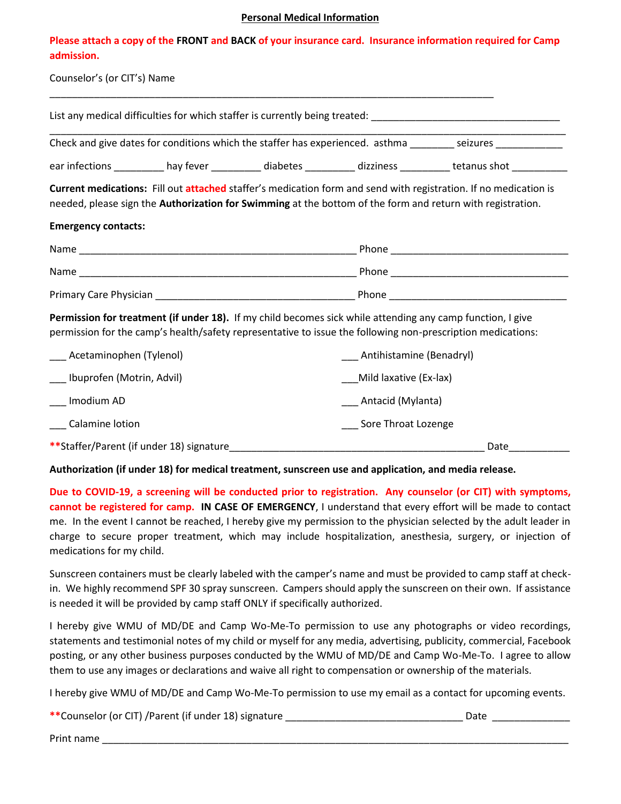#### **Personal Medical Information**

| Please attach a copy of the FRONT and BACK of your insurance card. Insurance information required for Camp |  |
|------------------------------------------------------------------------------------------------------------|--|
| admission.                                                                                                 |  |

\_\_\_\_\_\_\_\_\_\_\_\_\_\_\_\_\_\_\_\_\_\_\_\_\_\_\_\_\_\_\_\_\_\_\_\_\_\_\_\_\_\_\_\_\_\_\_\_\_\_\_\_\_\_\_\_\_\_\_\_\_\_\_\_\_\_\_\_\_\_\_\_\_\_\_\_\_\_\_\_

|  | Counselor's (or CIT's) Name |  |
|--|-----------------------------|--|
|--|-----------------------------|--|

|                               |                                                                                                                      |  |                              | List any medical difficulties for which staffer is currently being treated: __________________________________                                                                                                                        |
|-------------------------------|----------------------------------------------------------------------------------------------------------------------|--|------------------------------|---------------------------------------------------------------------------------------------------------------------------------------------------------------------------------------------------------------------------------------|
|                               |                                                                                                                      |  |                              | Check and give dates for conditions which the staffer has experienced. asthma ________ seizures ____________                                                                                                                          |
|                               | ear infections ___________ hay fever ____________ diabetes ___________ dizziness ___________ tetanus shot __________ |  |                              |                                                                                                                                                                                                                                       |
|                               |                                                                                                                      |  |                              | <b>Current medications:</b> Fill out attached staffer's medication form and send with registration. If no medication is<br>needed, please sign the Authorization for Swimming at the bottom of the form and return with registration. |
| <b>Emergency contacts:</b>    |                                                                                                                      |  |                              |                                                                                                                                                                                                                                       |
|                               |                                                                                                                      |  |                              |                                                                                                                                                                                                                                       |
|                               |                                                                                                                      |  |                              |                                                                                                                                                                                                                                       |
|                               |                                                                                                                      |  |                              |                                                                                                                                                                                                                                       |
|                               |                                                                                                                      |  |                              | Permission for treatment (if under 18). If my child becomes sick while attending any camp function, I give<br>permission for the camp's health/safety representative to issue the following non-prescription medications:             |
| ___ Acetaminophen (Tylenol)   |                                                                                                                      |  | ___ Antihistamine (Benadryl) |                                                                                                                                                                                                                                       |
| ___ Ibuprofen (Motrin, Advil) |                                                                                                                      |  | Mild laxative (Ex-lax)       |                                                                                                                                                                                                                                       |
| Imodium AD                    |                                                                                                                      |  | Antacid (Mylanta)            |                                                                                                                                                                                                                                       |

| Calamine lotion |  |
|-----------------|--|
|                 |  |

| **Staffer/Parent (if under 18) signature | Jate |
|------------------------------------------|------|
|                                          |      |

\_\_\_ Sore Throat Lozenge

**Authorization (if under 18) for medical treatment, sunscreen use and application, and media release.**

**Due to COVID-19, a screening will be conducted prior to registration. Any counselor (or CIT) with symptoms, cannot be registered for camp. IN CASE OF EMERGENCY**, I understand that every effort will be made to contact me. In the event I cannot be reached, I hereby give my permission to the physician selected by the adult leader in charge to secure proper treatment, which may include hospitalization, anesthesia, surgery, or injection of medications for my child.

Sunscreen containers must be clearly labeled with the camper's name and must be provided to camp staff at checkin. We highly recommend SPF 30 spray sunscreen. Campers should apply the sunscreen on their own. If assistance is needed it will be provided by camp staff ONLY if specifically authorized.

I hereby give WMU of MD/DE and Camp Wo-Me-To permission to use any photographs or video recordings, statements and testimonial notes of my child or myself for any media, advertising, publicity, commercial, Facebook posting, or any other business purposes conducted by the WMU of MD/DE and Camp Wo-Me-To. I agree to allow them to use any images or declarations and waive all right to compensation or ownership of the materials.

I hereby give WMU of MD/DE and Camp Wo-Me-To permission to use my email as a contact for upcoming events.

| ** Counselor (or CIT) / Parent (if under 18) signature | Date |
|--------------------------------------------------------|------|
|--------------------------------------------------------|------|

Print name \_\_\_\_\_\_\_\_\_\_\_\_\_\_\_\_\_\_\_\_\_\_\_\_\_\_\_\_\_\_\_\_\_\_\_\_\_\_\_\_\_\_\_\_\_\_\_\_\_\_\_\_\_\_\_\_\_\_\_\_\_\_\_\_\_\_\_\_\_\_\_\_\_\_\_\_\_\_\_\_\_\_\_\_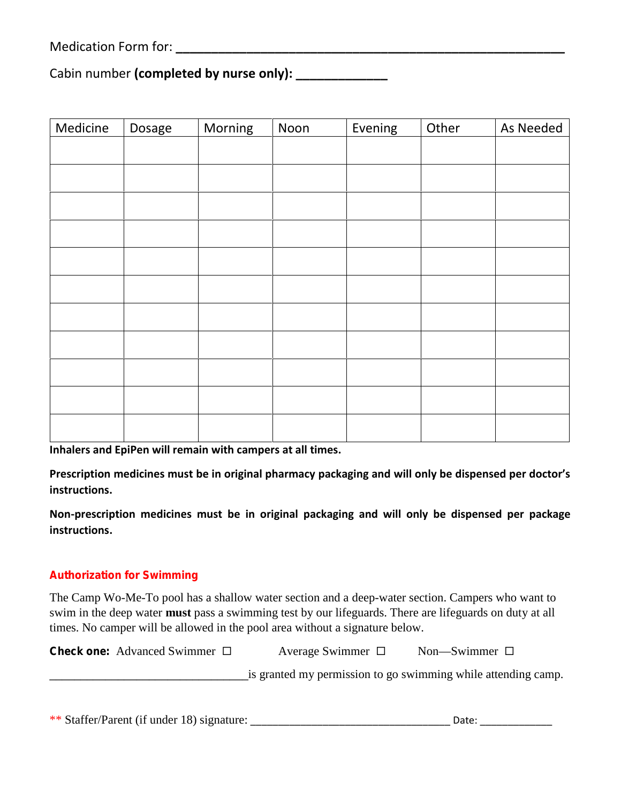Medication Form for: **Wedication** Form for:

Cabin number **(completed by nurse only): \_\_\_\_\_\_\_\_\_\_\_\_\_**

| Medicine | Dosage | Morning | Noon | Evening | Other | As Needed |
|----------|--------|---------|------|---------|-------|-----------|
|          |        |         |      |         |       |           |
|          |        |         |      |         |       |           |
|          |        |         |      |         |       |           |
|          |        |         |      |         |       |           |
|          |        |         |      |         |       |           |
|          |        |         |      |         |       |           |
|          |        |         |      |         |       |           |
|          |        |         |      |         |       |           |
|          |        |         |      |         |       |           |
|          |        |         |      |         |       |           |
|          |        |         |      |         |       |           |
|          |        |         |      |         |       |           |
|          |        |         |      |         |       |           |
|          |        |         |      |         |       |           |
|          |        |         |      |         |       |           |
|          |        |         |      |         |       |           |

**Inhalers and EpiPen will remain with campers at all times.**

**Prescription medicines must be in original pharmacy packaging and will only be dispensed per doctor's instructions.**

**Non-prescription medicines must be in original packaging and will only be dispensed per package instructions.**

### **Authorization for Swimming**

The Camp Wo-Me-To pool has a shallow water section and a deep-water section. Campers who want to swim in the deep water **must** pass a swimming test by our lifeguards. There are lifeguards on duty at all times. No camper will be allowed in the pool area without a signature below.

| <b>Check one:</b> Advanced Swimmer $\Box$ | Average Swimmer $\Box$ | Non—Swimmer $\square$                                         |
|-------------------------------------------|------------------------|---------------------------------------------------------------|
|                                           |                        | is granted my permission to go swimming while attending camp. |

| ** Staffer/Parent (if under 18) signature: | Date |  |
|--------------------------------------------|------|--|
|--------------------------------------------|------|--|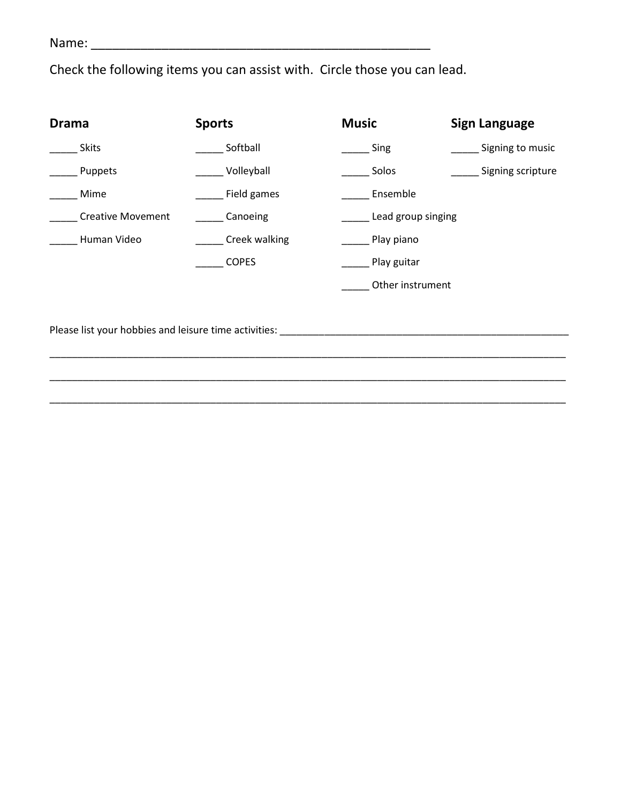Name: \_\_\_\_\_\_\_\_\_\_\_\_\_\_\_\_\_\_\_\_\_\_\_\_\_\_\_\_\_\_\_\_\_\_\_\_\_\_\_\_\_\_\_\_\_\_\_\_

Check the following items you can assist with. Circle those you can lead.

| <b>Drama</b>             | <b>Sports</b>                                                                                                                                                                                                                  | <b>Music</b>       | <b>Sign Language</b> |
|--------------------------|--------------------------------------------------------------------------------------------------------------------------------------------------------------------------------------------------------------------------------|--------------------|----------------------|
| <b>Skits</b>             | Softball                                                                                                                                                                                                                       | Sing               | __ Signing to music  |
| Puppets                  | Volleyball                                                                                                                                                                                                                     | Solos              | Signing scripture    |
| Mime                     | Field games                                                                                                                                                                                                                    | Ensemble           |                      |
| <b>Creative Movement</b> | Canoeing                                                                                                                                                                                                                       | Lead group singing |                      |
| Human Video              | <b>Creek walking</b>                                                                                                                                                                                                           | Play piano         |                      |
|                          | <b>COPES</b>                                                                                                                                                                                                                   | Play guitar        |                      |
|                          |                                                                                                                                                                                                                                | Other instrument   |                      |
|                          |                                                                                                                                                                                                                                |                    |                      |
|                          | Please list your hobbies and leisure time activities: North and the control of the control of the control of the control of the control of the control of the control of the control of the control of the control of the cont |                    |                      |
|                          |                                                                                                                                                                                                                                |                    |                      |
|                          |                                                                                                                                                                                                                                |                    |                      |

\_\_\_\_\_\_\_\_\_\_\_\_\_\_\_\_\_\_\_\_\_\_\_\_\_\_\_\_\_\_\_\_\_\_\_\_\_\_\_\_\_\_\_\_\_\_\_\_\_\_\_\_\_\_\_\_\_\_\_\_\_\_\_\_\_\_\_\_\_\_\_\_\_\_\_\_\_\_\_\_\_\_\_\_\_\_\_\_\_\_\_\_\_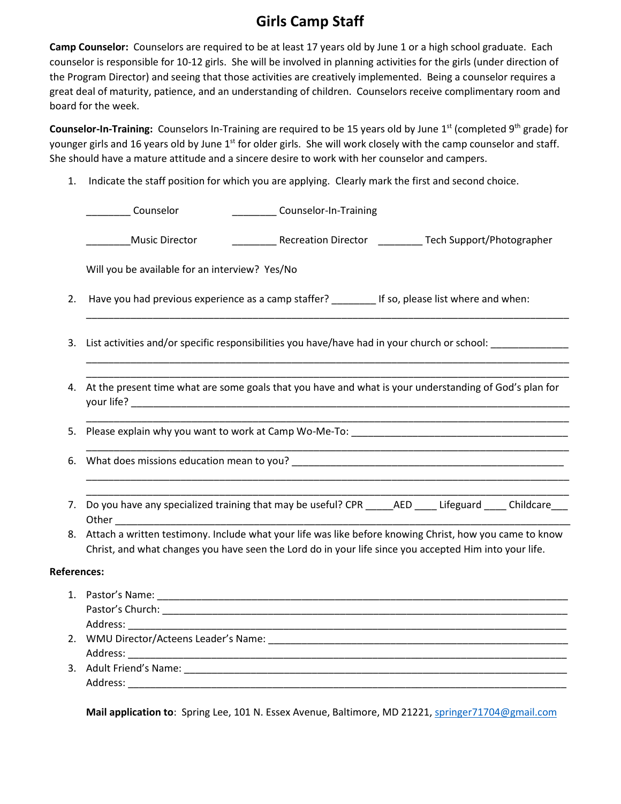## **Girls Camp Staff**

**Camp Counselor:** Counselors are required to be at least 17 years old by June 1 or a high school graduate. Each counselor is responsible for 10-12 girls. She will be involved in planning activities for the girls (under direction of the Program Director) and seeing that those activities are creatively implemented. Being a counselor requires a great deal of maturity, patience, and an understanding of children. Counselors receive complimentary room and board for the week.

**Counselor-In-Training:** Counselors In-Training are required to be 15 years old by June 1<sup>st</sup> (completed 9<sup>th</sup> grade) for younger girls and 16 years old by June 1<sup>st</sup> for older girls. She will work closely with the camp counselor and staff. She should have a mature attitude and a sincere desire to work with her counselor and campers.

1. Indicate the staff position for which you are applying. Clearly mark the first and second choice.

|    | Counselor<br>Counselor-In-Training                                                                                                                                                                                                  |
|----|-------------------------------------------------------------------------------------------------------------------------------------------------------------------------------------------------------------------------------------|
|    | ___________ Recreation Director __________ Tech Support/Photographer<br><b>Music Director</b>                                                                                                                                       |
|    | Will you be available for an interview? Yes/No                                                                                                                                                                                      |
| 2. | Have you had previous experience as a camp staffer? If so, please list where and when:                                                                                                                                              |
| 3. | List activities and/or specific responsibilities you have/have had in your church or school: _____________<br><u> 1989 - Johann Harry Harry Harry Harry Harry Harry Harry Harry Harry Harry Harry Harry Harry Harry Harry Harry</u> |
| 4. | At the present time what are some goals that you have and what is your understanding of God's plan for                                                                                                                              |
| 5. | <u> 1989 - Johann John Stoff, deutscher Stoffen und der Stoffen und der Stoffen und der Stoffen und der Stoffen u</u>                                                                                                               |
| 6. | <u> 1989 - Johann Stoff, deutscher Stoff, der Stoff, der Stoff, der Stoff, der Stoff, der Stoff, der Stoff, der S</u>                                                                                                               |
|    | 7. Do you have any specialized training that may be useful? CPR _____AED ____ Lifeguard ____ Childcare___<br>Other and the contract of the contract of the contract of the contract of the contract of the contract of the          |
|    | 8. Attach a written testimony. Include what your life was like before knowing Christ, how you came to know<br>Christ, and what changes you have seen the Lord do in your life since you accepted Him into your life.                |
|    | <b>References:</b>                                                                                                                                                                                                                  |
|    | Address: ________                                                                                                                                                                                                                   |
|    | Address:                                                                                                                                                                                                                            |
|    | Address:                                                                                                                                                                                                                            |

**Mail application to**: Spring Lee, 101 N. Essex Avenue, Baltimore, MD 21221, springer71704@gmail.com